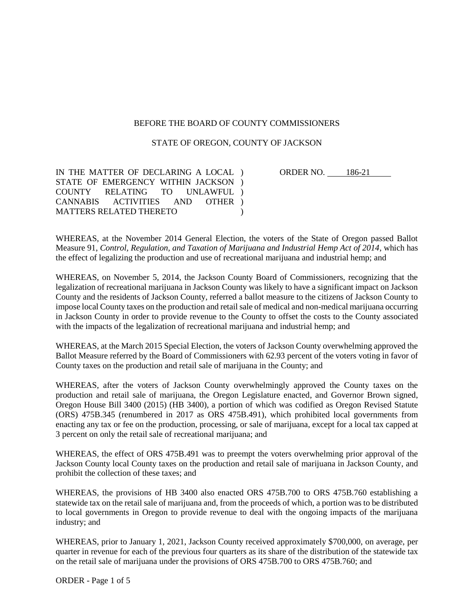## BEFORE THE BOARD OF COUNTY COMMISSIONERS

## STATE OF OREGON, COUNTY OF JACKSON

IN THE MATTER OF DECLARING A LOCAL ) STATE OF EMERGENCY WITHIN JACKSON) COUNTY RELATING TO UNLAWFUL ) CANNABIS ACTIVITIES AND MATTERS RELATED THERETO OTHER )  $\lambda$ 

ORDER NO. 186-21

WHEREAS, at the November 2014 General Election, the voters of the State of Oregon passed Ballot Measure 91, *Control, Regulation, and Taxation of Marijuana and Industrial Hemp Act of 2014*, which has the effect of legalizing the production and use of recreational marijuana and industrial hemp; and

WHEREAS, on November 5, 2014, the Jackson County Board of Commissioners, recognizing that the legalization of recreational marijuana in Jackson County was likely to have a significant impact on Jackson County and the residents of Jackson County, referred a ballot measure to the citizens of Jackson County to impose local County taxes on the production and retail sale of medical and non-medical marijuana occurring in Jackson County in order to provide revenue to the County to offset the costs to the County associated with the impacts of the legalization of recreational marijuana and industrial hemp; and

WHEREAS, at the March 2015 Special Election, the voters of Jackson County overwhelming approved the Ballot Measure referred by the Board of Commissioners with 62.93 percent of the voters voting in favor of County taxes on the production and retail sale of marijuana in the County; and

WHEREAS, after the voters of Jackson County overwhelmingly approved the County taxes on the production and retail sale of marijuana, the Oregon Legislature enacted, and Governor Brown signed, Oregon House Bill 3400 (2015) (HB 3400), a portion of which was codified as Oregon Revised Statute (ORS) 475B.345 (renumbered in 2017 as ORS 475B.491), which prohibited local governments from enacting any tax or fee on the production, processing, or sale of marijuana, except for a local tax capped at 3 percent on only the retail sale of recreational marijuana; and

WHEREAS, the effect of ORS 475B.491 was to preempt the voters overwhelming prior approval of the Jackson County local County taxes on the production and retail sale of marijuana in Jackson County, and prohibit the collection of these taxes; and

WHEREAS, the provisions of HB 3400 also enacted ORS 475B.700 to ORS 475B.760 establishing a statewide tax on the retail sale of marijuana and, from the proceeds of which, a portion was to be distributed to local governments in Oregon to provide revenue to deal with the ongoing impacts of the marijuana industry; and

WHEREAS, prior to January 1, 2021, Jackson County received approximately \$700,000, on average, per quarter in revenue for each of the previous four quarters as its share of the distribution of the statewide tax on the retail sale of marijuana under the provisions of ORS 475B.700 to ORS 475B.760; and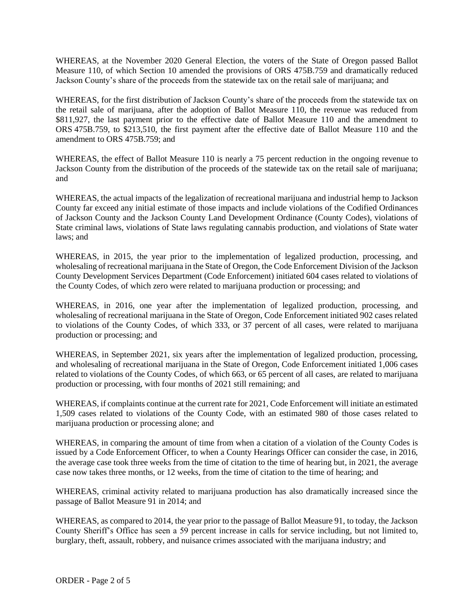WHEREAS, at the November 2020 General Election, the voters of the State of Oregon passed Ballot Measure 110, of which Section 10 amended the provisions of ORS 475B.759 and dramatically reduced Jackson County's share of the proceeds from the statewide tax on the retail sale of marijuana; and

WHEREAS, for the first distribution of Jackson County's share of the proceeds from the statewide tax on the retail sale of marijuana, after the adoption of Ballot Measure 110, the revenue was reduced from \$811,927, the last payment prior to the effective date of Ballot Measure 110 and the amendment to ORS 475B.759, to \$213,510, the first payment after the effective date of Ballot Measure 110 and the amendment to ORS 475B.759; and

WHEREAS, the effect of Ballot Measure 110 is nearly a 75 percent reduction in the ongoing revenue to Jackson County from the distribution of the proceeds of the statewide tax on the retail sale of marijuana; and

WHEREAS, the actual impacts of the legalization of recreational marijuana and industrial hemp to Jackson County far exceed any initial estimate of those impacts and include violations of the Codified Ordinances of Jackson County and the Jackson County Land Development Ordinance (County Codes), violations of State criminal laws, violations of State laws regulating cannabis production, and violations of State water laws; and

WHEREAS, in 2015, the year prior to the implementation of legalized production, processing, and wholesaling of recreational marijuana in the State of Oregon, the Code Enforcement Division of the Jackson County Development Services Department (Code Enforcement) initiated 604 cases related to violations of the County Codes, of which zero were related to marijuana production or processing; and

WHEREAS, in 2016, one year after the implementation of legalized production, processing, and wholesaling of recreational marijuana in the State of Oregon, Code Enforcement initiated 902 cases related to violations of the County Codes, of which 333, or 37 percent of all cases, were related to marijuana production or processing; and

WHEREAS, in September 2021, six years after the implementation of legalized production, processing, and wholesaling of recreational marijuana in the State of Oregon, Code Enforcement initiated 1,006 cases related to violations of the County Codes, of which 663, or 65 percent of all cases, are related to marijuana production or processing, with four months of 2021 still remaining; and

WHEREAS, if complaints continue at the current rate for 2021, Code Enforcement will initiate an estimated 1,509 cases related to violations of the County Code, with an estimated 980 of those cases related to marijuana production or processing alone; and

WHEREAS, in comparing the amount of time from when a citation of a violation of the County Codes is issued by a Code Enforcement Officer, to when a County Hearings Officer can consider the case, in 2016, the average case took three weeks from the time of citation to the time of hearing but, in 2021, the average case now takes three months, or 12 weeks, from the time of citation to the time of hearing; and

WHEREAS, criminal activity related to marijuana production has also dramatically increased since the passage of Ballot Measure 91 in 2014; and

WHEREAS, as compared to 2014, the year prior to the passage of Ballot Measure 91, to today, the Jackson County Sheriff's Office has seen a 59 percent increase in calls for service including, but not limited to, burglary, theft, assault, robbery, and nuisance crimes associated with the marijuana industry; and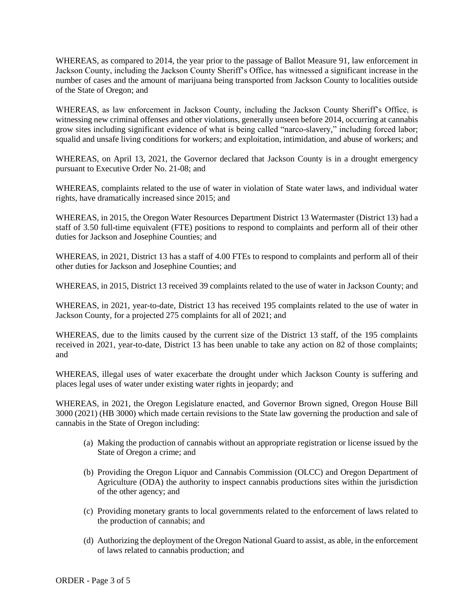WHEREAS, as compared to 2014, the year prior to the passage of Ballot Measure 91, law enforcement in Jackson County, including the Jackson County Sheriff's Office, has witnessed a significant increase in the number of cases and the amount of marijuana being transported from Jackson County to localities outside of the State of Oregon; and

WHEREAS, as law enforcement in Jackson County, including the Jackson County Sheriff's Office, is witnessing new criminal offenses and other violations, generally unseen before 2014, occurring at cannabis grow sites including significant evidence of what is being called "narco-slavery," including forced labor; squalid and unsafe living conditions for workers; and exploitation, intimidation, and abuse of workers; and

WHEREAS, on April 13, 2021, the Governor declared that Jackson County is in a drought emergency pursuant to Executive Order No. 21-08; and

WHEREAS, complaints related to the use of water in violation of State water laws, and individual water rights, have dramatically increased since 2015; and

WHEREAS, in 2015, the Oregon Water Resources Department District 13 Watermaster (District 13) had a staff of 3.50 full-time equivalent (FTE) positions to respond to complaints and perform all of their other duties for Jackson and Josephine Counties; and

WHEREAS, in 2021, District 13 has a staff of 4.00 FTEs to respond to complaints and perform all of their other duties for Jackson and Josephine Counties; and

WHEREAS, in 2015, District 13 received 39 complaints related to the use of water in Jackson County; and

WHEREAS, in 2021, year-to-date, District 13 has received 195 complaints related to the use of water in Jackson County, for a projected 275 complaints for all of 2021; and

WHEREAS, due to the limits caused by the current size of the District 13 staff, of the 195 complaints received in 2021, year-to-date, District 13 has been unable to take any action on 82 of those complaints; and

WHEREAS, illegal uses of water exacerbate the drought under which Jackson County is suffering and places legal uses of water under existing water rights in jeopardy; and

WHEREAS, in 2021, the Oregon Legislature enacted, and Governor Brown signed, Oregon House Bill 3000 (2021) (HB 3000) which made certain revisions to the State law governing the production and sale of cannabis in the State of Oregon including:

- (a) Making the production of cannabis without an appropriate registration or license issued by the State of Oregon a crime; and
- (b) Providing the Oregon Liquor and Cannabis Commission (OLCC) and Oregon Department of Agriculture (ODA) the authority to inspect cannabis productions sites within the jurisdiction of the other agency; and
- (c) Providing monetary grants to local governments related to the enforcement of laws related to the production of cannabis; and
- (d) Authorizing the deployment of the Oregon National Guard to assist, as able, in the enforcement of laws related to cannabis production; and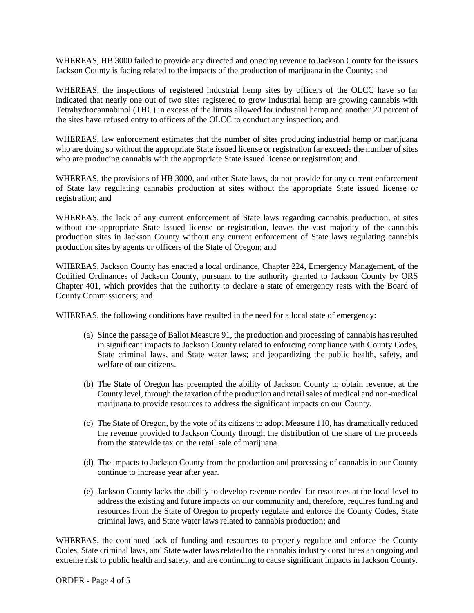WHEREAS, HB 3000 failed to provide any directed and ongoing revenue to Jackson County for the issues Jackson County is facing related to the impacts of the production of marijuana in the County; and

WHEREAS, the inspections of registered industrial hemp sites by officers of the OLCC have so far indicated that nearly one out of two sites registered to grow industrial hemp are growing cannabis with Tetrahydrocannabinol (THC) in excess of the limits allowed for industrial hemp and another 20 percent of the sites have refused entry to officers of the OLCC to conduct any inspection; and

WHEREAS, law enforcement estimates that the number of sites producing industrial hemp or marijuana who are doing so without the appropriate State issued license or registration far exceeds the number of sites who are producing cannabis with the appropriate State issued license or registration; and

WHEREAS, the provisions of HB 3000, and other State laws, do not provide for any current enforcement of State law regulating cannabis production at sites without the appropriate State issued license or registration; and

WHEREAS, the lack of any current enforcement of State laws regarding cannabis production, at sites without the appropriate State issued license or registration, leaves the vast majority of the cannabis production sites in Jackson County without any current enforcement of State laws regulating cannabis production sites by agents or officers of the State of Oregon; and

WHEREAS, Jackson County has enacted a local ordinance, Chapter 224, Emergency Management, of the Codified Ordinances of Jackson County, pursuant to the authority granted to Jackson County by ORS Chapter 401, which provides that the authority to declare a state of emergency rests with the Board of County Commissioners; and

WHEREAS, the following conditions have resulted in the need for a local state of emergency:

- (a) Since the passage of Ballot Measure 91, the production and processing of cannabis has resulted in significant impacts to Jackson County related to enforcing compliance with County Codes, State criminal laws, and State water laws; and jeopardizing the public health, safety, and welfare of our citizens.
- (b) The State of Oregon has preempted the ability of Jackson County to obtain revenue, at the County level, through the taxation of the production and retail sales of medical and non-medical marijuana to provide resources to address the significant impacts on our County.
- (c) The State of Oregon, by the vote of its citizens to adopt Measure 110, has dramatically reduced the revenue provided to Jackson County through the distribution of the share of the proceeds from the statewide tax on the retail sale of marijuana.
- (d) The impacts to Jackson County from the production and processing of cannabis in our County continue to increase year after year.
- (e) Jackson County lacks the ability to develop revenue needed for resources at the local level to address the existing and future impacts on our community and, therefore, requires funding and resources from the State of Oregon to properly regulate and enforce the County Codes, State criminal laws, and State water laws related to cannabis production; and

WHEREAS, the continued lack of funding and resources to properly regulate and enforce the County Codes, State criminal laws, and State water laws related to the cannabis industry constitutes an ongoing and extreme risk to public health and safety, and are continuing to cause significant impacts in Jackson County.